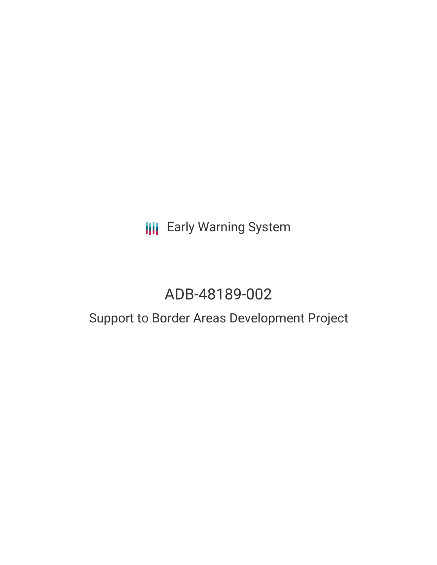**III** Early Warning System

# ADB-48189-002

# Support to Border Areas Development Project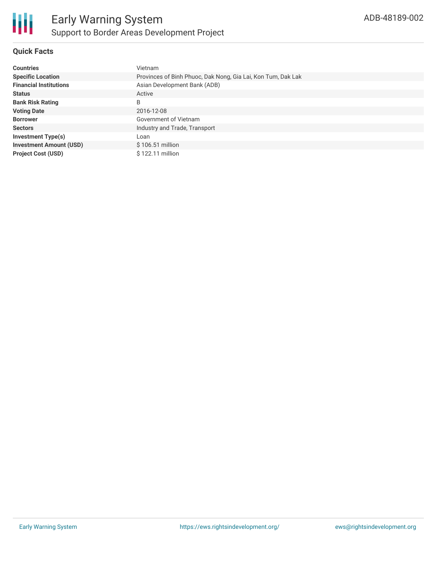

# **Quick Facts**

| <b>Countries</b>               | Vietnam                                                      |
|--------------------------------|--------------------------------------------------------------|
| <b>Specific Location</b>       | Provinces of Binh Phuoc, Dak Nong, Gia Lai, Kon Tum, Dak Lak |
| <b>Financial Institutions</b>  | Asian Development Bank (ADB)                                 |
| <b>Status</b>                  | Active                                                       |
| <b>Bank Risk Rating</b>        | B                                                            |
| <b>Voting Date</b>             | 2016-12-08                                                   |
| <b>Borrower</b>                | Government of Vietnam                                        |
| <b>Sectors</b>                 | Industry and Trade, Transport                                |
| <b>Investment Type(s)</b>      | Loan                                                         |
| <b>Investment Amount (USD)</b> | $$106.51$ million                                            |
| <b>Project Cost (USD)</b>      | \$122.11 million                                             |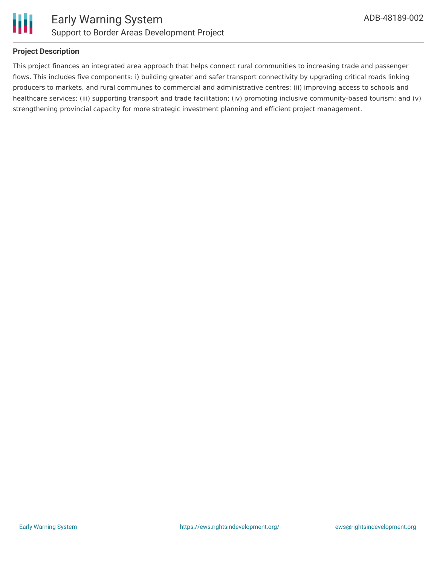

## **Project Description**

This project finances an integrated area approach that helps connect rural communities to increasing trade and passenger flows. This includes five components: i) building greater and safer transport connectivity by upgrading critical roads linking producers to markets, and rural communes to commercial and administrative centres; (ii) improving access to schools and healthcare services; (iii) supporting transport and trade facilitation; (iv) promoting inclusive community-based tourism; and (v) strengthening provincial capacity for more strategic investment planning and efficient project management.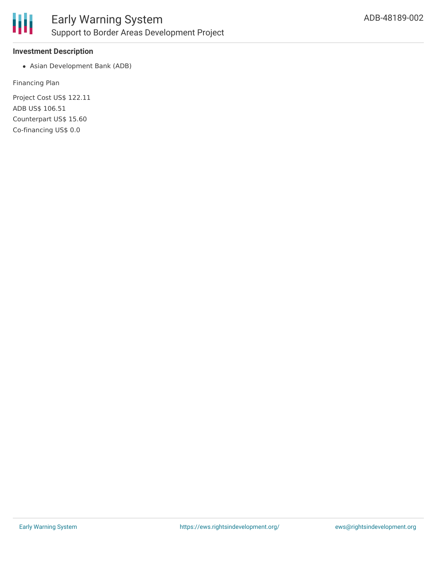

#### **Investment Description**

Asian Development Bank (ADB)

Financing Plan

Project Cost US\$ 122.11 ADB US\$ 106.51 Counterpart US\$ 15.60 Co-financing US\$ 0.0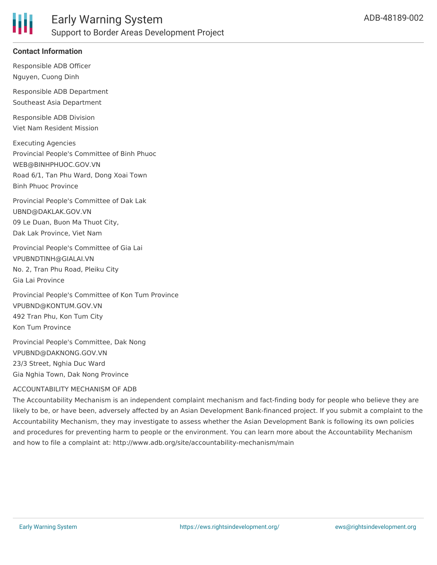

# **Contact Information**

Responsible ADB Officer Nguyen, Cuong Dinh

Responsible ADB Department Southeast Asia Department

Responsible ADB Division Viet Nam Resident Mission

Executing Agencies Provincial People's Committee of Binh Phuoc WEB@BINHPHUOC.GOV.VN Road 6/1, Tan Phu Ward, Dong Xoai Town Binh Phuoc Province

Provincial People's Committee of Dak Lak UBND@DAKLAK.GOV.VN 09 Le Duan, Buon Ma Thuot City, Dak Lak Province, Viet Nam

Provincial People's Committee of Gia Lai VPUBNDTINH@GIALAI.VN No. 2, Tran Phu Road, Pleiku City Gia Lai Province

Provincial People's Committee of Kon Tum Province VPUBND@KONTUM.GOV.VN 492 Tran Phu, Kon Tum City Kon Tum Province

Provincial People's Committee, Dak Nong VPUBND@DAKNONG.GOV.VN 23/3 Street, Nghia Duc Ward Gia Nghia Town, Dak Nong Province

#### ACCOUNTABILITY MECHANISM OF ADB

The Accountability Mechanism is an independent complaint mechanism and fact-finding body for people who believe they are likely to be, or have been, adversely affected by an Asian Development Bank-financed project. If you submit a complaint to the Accountability Mechanism, they may investigate to assess whether the Asian Development Bank is following its own policies and procedures for preventing harm to people or the environment. You can learn more about the Accountability Mechanism and how to file a complaint at: http://www.adb.org/site/accountability-mechanism/main